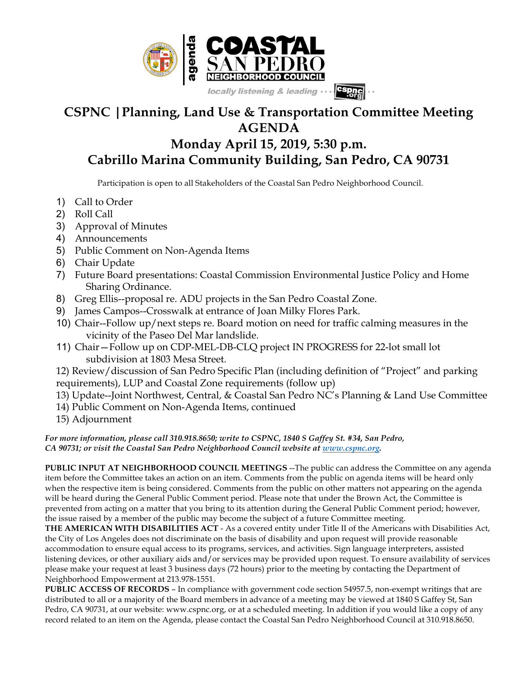

## **CSPNC |Planning, Land Use & Transportation Committee Meeting AGENDA**

## **Monday April 15, 2019, 5:30 p.m. Cabrillo Marina Community Building, San Pedro, CA 90731**

Participation is open to all Stakeholders of the Coastal San Pedro Neighborhood Council.

- 1) Call to Order
- 2) Roll Call
- 3) Approval of Minutes
- 4) Announcements
- 5) Public Comment on Non-Agenda Items
- 6) Chair Update
- 7) Future Board presentations: Coastal Commission Environmental Justice Policy and Home Sharing Ordinance.
- 8) Greg Ellis--proposal re. ADU projects in the San Pedro Coastal Zone.
- 9) James Campos--Crosswalk at entrance of Joan Milky Flores Park.
- 10) Chair--Follow up/next steps re. Board motion on need for traffic calming measures in the vicinity of the Paseo Del Mar landslide.
- 11) Chair—Follow up on CDP-MEL-DB-CLQ project IN PROGRESS for 22-lot small lot subdivision at 1803 Mesa Street.

12) Review/discussion of San Pedro Specific Plan (including definition of "Project" and parking requirements), LUP and Coastal Zone requirements (follow up)

- 13) Update--Joint Northwest, Central, & Coastal San Pedro NC's Planning & Land Use Committee
- 14) Public Comment on Non-Agenda Items, continued
- 15) Adjournment

*For more information, please call 310.918.8650; write to CSPNC, 1840 S Gaffey St. #34, San Pedro, CA 90731; or visit the Coastal San Pedro Neighborhood Council website at www.cspnc.org.*

**PUBLIC INPUT AT NEIGHBORHOOD COUNCIL MEETINGS** --The public can address the Committee on any agenda item before the Committee takes an action on an item. Comments from the public on agenda items will be heard only when the respective item is being considered. Comments from the public on other matters not appearing on the agenda will be heard during the General Public Comment period. Please note that under the Brown Act, the Committee is prevented from acting on a matter that you bring to its attention during the General Public Comment period; however, the issue raised by a member of the public may become the subject of a future Committee meeting.

**THE AMERICAN WITH DISABILITIES ACT** - As a covered entity under Title II of the Americans with Disabilities Act, the City of Los Angeles does not discriminate on the basis of disability and upon request will provide reasonable accommodation to ensure equal access to its programs, services, and activities. Sign language interpreters, assisted listening devices, or other auxiliary aids and/or services may be provided upon request. To ensure availability of services please make your request at least 3 business days (72 hours) prior to the meeting by contacting the Department of Neighborhood Empowerment at 213.978-1551.

**PUBLIC ACCESS OF RECORDS** – In compliance with government code section 54957.5, non-exempt writings that are distributed to all or a majority of the Board members in advance of a meeting may be viewed at 1840 S Gaffey St, San Pedro, CA 90731, at our website: www.cspnc.org, or at a scheduled meeting. In addition if you would like a copy of any record related to an item on the Agenda, please contact the Coastal San Pedro Neighborhood Council at 310.918.8650.